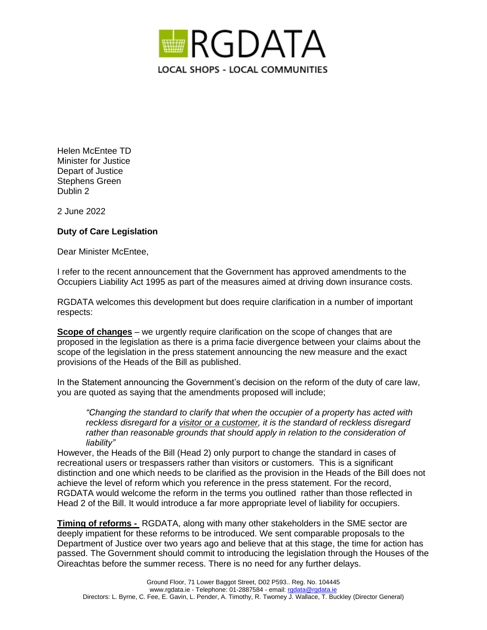

Helen McEntee TD Minister for Justice Depart of Justice Stephens Green Dublin 2

2 June 2022

## **Duty of Care Legislation**

Dear Minister McEntee,

I refer to the recent announcement that the Government has approved amendments to the Occupiers Liability Act 1995 as part of the measures aimed at driving down insurance costs.

RGDATA welcomes this development but does require clarification in a number of important respects:

**Scope of changes** – we urgently require clarification on the scope of changes that are proposed in the legislation as there is a prima facie divergence between your claims about the scope of the legislation in the press statement announcing the new measure and the exact provisions of the Heads of the Bill as published.

In the Statement announcing the Government's decision on the reform of the duty of care law, you are quoted as saying that the amendments proposed will include;

*"Changing the standard to clarify that when the occupier of a property has acted with reckless disregard for a visitor or a customer, it is the standard of reckless disregard rather than reasonable grounds that should apply in relation to the consideration of liability"*

However, the Heads of the Bill (Head 2) only purport to change the standard in cases of recreational users or trespassers rather than visitors or customers. This is a significant distinction and one which needs to be clarified as the provision in the Heads of the Bill does not achieve the level of reform which you reference in the press statement. For the record, RGDATA would welcome the reform in the terms you outlined rather than those reflected in Head 2 of the Bill. It would introduce a far more appropriate level of liability for occupiers.

**Timing of reforms -** RGDATA, along with many other stakeholders in the SME sector are deeply impatient for these reforms to be introduced. We sent comparable proposals to the Department of Justice over two years ago and believe that at this stage, the time for action has passed. The Government should commit to introducing the legislation through the Houses of the Oireachtas before the summer recess. There is no need for any further delays.